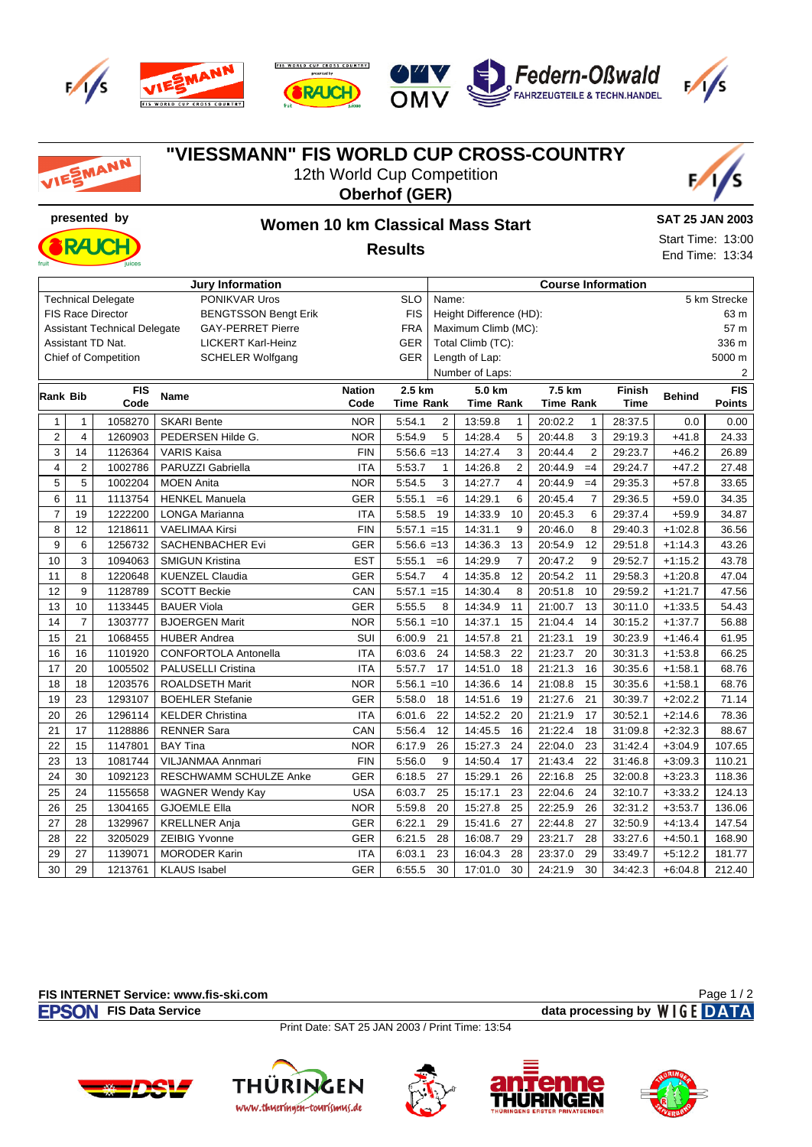









## **"VIESSMANN" FIS WORLD CUP CROSS-COUNTRY** SMANN 12th World Cup Competition **Oberhof (GER) presented by Women 10 km Classical Mass Start SAT 25 JAN 2003** Start Time: 13:00 DД И **Results** End Time: 13:34 **Jury Information Course Information** Technical Delegate **PONIKVAR Uros** SLO Name: 5 km Strecke FIS Race Director BENGTSSON Bengt Erik FIS Height Difference (HD): 63 m Assistant Technical Delegate GAY-PERRET Pierre FRA Maximum Climb (MC): 57 m Assistant TD Nat. LICKERT Karl-Heinz GER Total Climb (TC): 336 m Chief of Competition SCHELER Wolfgang GER Length of Lap: 5000 m Number of Laps: 2 **7.5 km Rank Bib FIS Code Name Nation 2.5 km 5.0 km Finish Time Behind FIS Code Time Rank Time Rank Time Rank Points** 1 | 1 | 1058270 | SKARI Bente NOR | 5:54.1 2 | 13:59.8 1 | 20:02.2 1 | 28:37.5 | 0.0 | 0.00 2 4 1260903 PEDERSEN Hilde G. NOR 5:54.9 5 14:28.4 5 20:44.8 3 29:19.3 +41.8 24.33 3 14 1126364 VARIS Kaisa FIN 5:56.6 =13 14:27.4 3 20:44.4 2 29:23.7 +46.2 26.89 4 2 1002786 PARUZZI Gabriella ITA 5:53.7 1 14:26.8 2 20:44.9 =4 29:24.7 +47.2 27.48 5 5 1002204 MOEN Anita NOR 5:54.5 3 14:27.7 4 20:44.9 =4 29:35.3 +57.8 33.65 6 11 1113754 HENKEL Manuela GER 5:55.1 =6 14:29.1 6 20:45.4 7 29:36.5 +59.0 34.35 7 19 1222200 LONGA Marianna ITA 5:58.5 19 14:33.9 10 20:45.3 6 29:37.4 +59.9 34.87 8 12 1218611 VAELIMAA Kirsi FIN 5:57.1 =15 14:31.1 9 20:46.0 8 29:40.3 +1:02.8 36.56 9 6 1256732 SACHENBACHER Evi GER 5:56.6 =13 14:36.3 13 20:54.9 12 29:51.8 +1:14.3 43.26 10 3 1094063 SMIGUN Kristina EST 5:55.1 =6 14:29.9 7 20:47.2 9 29:52.7 +1:15.2 43.78 11 8 1220648 KUENZEL Claudia GER 5:54.7 4 14:35.8 12 20:54.2 11 29:58.3 +1:20.8 47.04 12 9 1128789 SCOTT Beckie CAN 5:57.1 =15 14:30.4 8 20:51.8 10 29:59.2 +1:21.7 47.56 13 10 1133445 BAUER Viola GER 5:55.5 8 14:34.9 11 21:00.7 13 30:11.0 +1:33.5 54.43 14 7 | 1303777 | BJOERGEN Marit North North North 14:37.1 15 | 21:04.4 14 | 30:15.2 | +1:37.7 | 56.88 15 21 1068455 HUBER Andrea SUI 6:00.9 21 14:57.8 21 21:23.1 19 30:23.9 +1:46.4 61.95 16 16 1101920 CONFORTOLA Antonella ITA 6:03.6 24 14:58.3 22 21:23.7 20 30:31.3 +1:53.8 66.25 17 20 1005502 PALUSELLI Cristina ITA 5:57.7 17 14:51.0 18 21:21.3 16 30:35.6 +1:58.1 68.76 18 | 18 | 1203576 | ROALDSETH Marit North North North North 14:36.6 14 | 21:08.8 15 | 30:35.6 | +1:58.1 | 68.76 19 23 1293107 BOEHLER Stefanie GER | 5:58.0 18 | 14:51.6 19 | 21:27.6 21 | 30:39.7 | +2:02.2 | 71.14 20 26 1296114 KELDER Christina ITA 6:01.6 22 14:52.2 20 21:21.9 17 30:52.1 +2:14.6 78.36 21 17 1128886 RENNER Sara CAN 5:56.4 12 14:45.5 16 21:22.4 18 31:09.8 +2:32.3 88.67 22 15 1147801 BAY Tina NOR 6:17.9 26 15:27.3 24 22:04.0 23 31:42.4 +3:04.9 107.65 23 | 13 | 1081744 | VILJANMAA Annmari FIN | 5:56.0 9 | 14:50.4 17 | 21:43.4 22 | 31:46.8 | +3:09.3 | 110.21 24 30 1092123 RESCHWAMM SCHULZE Anke GER 6:18.5 27 15:29.1 26 22:16.8 25 32:00.8 +3:23.3 118.36 25 24 1155658 WAGNER Wendy Kay USA 6:03.7 25 15:17.1 23 22:04.6 24 32:10.7 +3:33.2 124.13 26 25 1304165 GJOEMLE Ella NOR 5:59.8 20 15:27.8 25 22:25.9 26 32:31.2 +3:53.7 136.06 27 28 1329967 KRELLNER Anja GER 6:22.1 29 15:41.6 27 22:44.8 27 32:50.9 +4:13.4 147.54 28 28 22 3205029 ZEIBIG Yvonne GER 6:21.5 28 16:08.7 29 23:21.7 28 33:27.6 +4:50.1 168.90 29 27 1139071 MORODER Karin ITA 6:03.1 23 16:04.3 28 23:37.0 29 33:49.7 +5:12.2 181.77 30 29 1213761 KLAUS Isabel GER 6:55.5 30 17:01.0 30 24:21.9 30 34:42.3 +6:04.8 212.40

## **FIS INTERNET Service: www.fis-ski.com**

Page 1 / 2

**FISON** FIS Data Service *CON* **CONSISTED A SERVICE** *DATA* 

Print Date: SAT 25 JAN 2003 / Print Time: 13:54